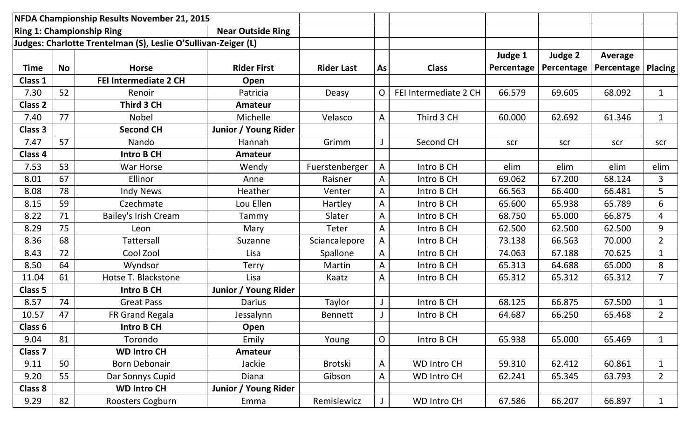|                | NFDA Championship Results November 21, 2015 |                                                                |                          |                   |             |                       |            |            |            |                |
|----------------|---------------------------------------------|----------------------------------------------------------------|--------------------------|-------------------|-------------|-----------------------|------------|------------|------------|----------------|
|                |                                             | <b>Ring 1: Championship Ring</b>                               | <b>Near Outside Ring</b> |                   |             |                       |            |            |            |                |
|                |                                             | Judges: Charlotte Trentelman (S), Leslie O'Sullivan-Zeiger (L) |                          |                   |             |                       |            |            |            |                |
|                |                                             |                                                                |                          |                   |             |                       | Judge 1    | Judge 2    | Average    |                |
| <b>Time</b>    | <b>No</b>                                   | <b>Horse</b>                                                   | <b>Rider First</b>       | <b>Rider Last</b> | As          | <b>Class</b>          | Percentage | Percentage | Percentage | <b>Placing</b> |
| Class 1        |                                             | FEI Intermediate 2 CH                                          | Open                     |                   |             |                       |            |            |            |                |
| 7.30           | 52                                          | Renoir                                                         | Patricia                 | Deasy             | O           | FEI Intermediate 2 CH | 66.579     | 69.605     | 68.092     | $\mathbf{1}$   |
| <b>Class 2</b> |                                             | Third 3 CH                                                     | Amateur                  |                   |             |                       |            |            |            |                |
| 7.40           | 77                                          | <b>Nobel</b>                                                   | Michelle                 | Velasco           | A           | Third 3 CH            | 60.000     | 62.692     | 61.346     | $\mathbf{1}$   |
| <b>Class 3</b> |                                             | <b>Second CH</b>                                               | Junior / Young Rider     |                   |             |                       |            |            |            |                |
| 7.47           | 57                                          | Nando                                                          | Hannah                   | Grimm             |             | Second CH             | scr        | scr        | scr        | scr            |
| Class 4        |                                             | <b>Intro B CH</b>                                              | Amateur                  |                   |             |                       |            |            |            |                |
| 7.53           | 53                                          | <b>War Horse</b>                                               | Wendy                    | Fuerstenberger    | A           | Intro B CH            | elim       | elim       | elim       | elim           |
| 8.01           | 67                                          | Ellinor                                                        | Anne                     | Raisner           | A           | Intro B CH            | 69.062     | 67.200     | 68.124     | 3              |
| 8.08           | 78                                          | <b>Indy News</b>                                               | Heather                  | Venter            | A           | Intro B CH            | 66.563     | 66.400     | 66.481     | 5              |
| 8.15           | 59                                          | Czechmate                                                      | Lou Ellen                | Hartley           | A           | Intro B CH            | 65.600     | 65.938     | 65.789     | 6              |
| 8.22           | 71                                          | Bailey's Irish Cream                                           | Tammy                    | Slater            | A           | Intro B CH            | 68.750     | 65.000     | 66.875     | 4              |
| 8.29           | 75                                          | Leon                                                           | Mary                     | <b>Teter</b>      | A           | Intro B CH            | 62.500     | 62.500     | 62.500     | 9              |
| 8.36           | 68                                          | <b>Tattersall</b>                                              | Suzanne                  | Sciancalepore     | A           | Intro B CH            | 73.138     | 66.563     | 70.000     | $\overline{2}$ |
| 8.43           | 72                                          | Cool Zool                                                      | Lisa                     | Spallone          | A           | Intro B CH            | 74.063     | 67.188     | 70.625     | $\mathbf{1}$   |
| 8.50           | 64                                          | Wyndsor                                                        | <b>Terry</b>             | Martin            | A           | Intro B CH            | 65.313     | 64.688     | 65.000     | 8              |
| 11.04          | 61                                          | Hotse T. Blackstone                                            | Lisa                     | Kaatz             | A           | Intro B CH            | 65.312     | 65.312     | 65.312     | $\overline{7}$ |
| Class 5        |                                             | <b>Intro B CH</b>                                              | Junior / Young Rider     |                   |             |                       |            |            |            |                |
| 8.57           | 74                                          | <b>Great Pass</b>                                              | <b>Darius</b>            | Taylor            |             | Intro B CH            | 68.125     | 66.875     | 67.500     | $\mathbf{1}$   |
| 10.57          | 47                                          | FR Grand Regala                                                | Jessalynn                | <b>Bennett</b>    |             | Intro B CH            | 64.687     | 66.250     | 65.468     | $2^{\circ}$    |
| Class 6        |                                             | <b>Intro B CH</b>                                              | Open                     |                   |             |                       |            |            |            |                |
| 9.04           | 81                                          | Torondo                                                        | Emily                    | Young             | $\mathsf O$ | Intro B CH            | 65.938     | 65.000     | 65.469     | $\mathbf{1}$   |
| Class 7        |                                             | <b>WD Intro CH</b>                                             | Amateur                  |                   |             |                       |            |            |            |                |
| 9.11           | 50                                          | <b>Born Debonair</b>                                           | Jackie                   | Brotski           | A           | <b>WD Intro CH</b>    | 59.310     | 62.412     | 60.861     | $\mathbf{1}$   |
| 9.20           | 55                                          | Dar Sonnys Cupid                                               | Diana                    | Gibson            | A           | <b>WD Intro CH</b>    | 62.241     | 65.345     | 63.793     | $2^{\circ}$    |
| <b>Class 8</b> |                                             | <b>WD Intro CH</b>                                             | Junior / Young Rider     |                   |             |                       |            |            |            |                |
| 9.29           | 82                                          | Roosters Cogburn                                               | Emma                     | Remisiewicz       |             | <b>WD Intro CH</b>    | 67.586     | 66.207     | 66.897     | $\mathbf{1}$   |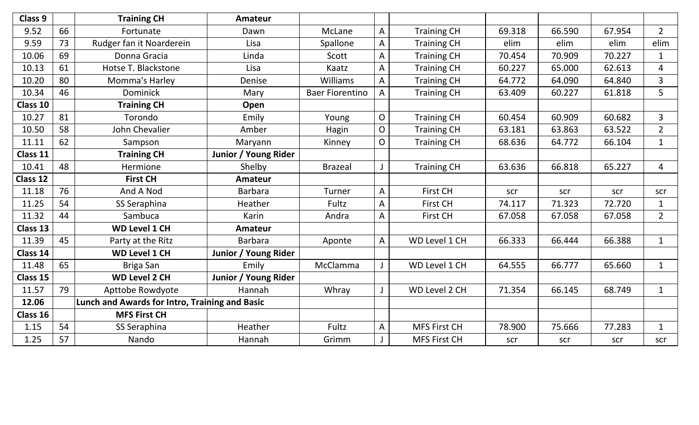| Class 9  |    | <b>Training CH</b>                             | <b>Amateur</b>       |                        |                |                     |        |        |        |                |
|----------|----|------------------------------------------------|----------------------|------------------------|----------------|---------------------|--------|--------|--------|----------------|
| 9.52     | 66 | Fortunate                                      | Dawn                 | McLane                 | A              | <b>Training CH</b>  | 69.318 | 66.590 | 67.954 | $2^{\circ}$    |
| 9.59     | 73 | Rudger fan it Noarderein                       | Lisa                 | Spallone               | $\overline{A}$ | <b>Training CH</b>  | elim   | elim   | elim   | elim           |
| 10.06    | 69 | Donna Gracia                                   | Linda                | Scott                  | A              | <b>Training CH</b>  | 70.454 | 70.909 | 70.227 | $\mathbf{1}$   |
| 10.13    | 61 | Hotse T. Blackstone                            | Lisa                 | Kaatz                  | A              | <b>Training CH</b>  | 60.227 | 65.000 | 62.613 | 4              |
| 10.20    | 80 | Momma's Harley                                 | Denise               | <b>Williams</b>        | A              | <b>Training CH</b>  | 64.772 | 64.090 | 64.840 | $\overline{3}$ |
| 10.34    | 46 | <b>Dominick</b>                                | Mary                 | <b>Baer Fiorentino</b> | A              | <b>Training CH</b>  | 63.409 | 60.227 | 61.818 | 5              |
| Class 10 |    | <b>Training CH</b>                             | Open                 |                        |                |                     |        |        |        |                |
| 10.27    | 81 | Torondo                                        | Emily                | Young                  | $\mathsf{O}$   | <b>Training CH</b>  | 60.454 | 60.909 | 60.682 | $\overline{3}$ |
| 10.50    | 58 | John Chevalier                                 | Amber                | Hagin                  | $\mathsf{O}$   | <b>Training CH</b>  | 63.181 | 63.863 | 63.522 | $2^{\circ}$    |
| 11.11    | 62 | Sampson                                        | Maryann              | Kinney                 | $\mathsf{O}$   | <b>Training CH</b>  | 68.636 | 64.772 | 66.104 | $\mathbf{1}$   |
| Class 11 |    | <b>Training CH</b>                             | Junior / Young Rider |                        |                |                     |        |        |        |                |
| 10.41    | 48 | Hermione                                       | Shelby               | <b>Brazeal</b>         |                | <b>Training CH</b>  | 63.636 | 66.818 | 65.227 | $\overline{4}$ |
| Class 12 |    | <b>First CH</b>                                | <b>Amateur</b>       |                        |                |                     |        |        |        |                |
| 11.18    | 76 | And A Nod                                      | <b>Barbara</b>       | Turner                 | A              | <b>First CH</b>     | scr    | scr    | scr    | scr            |
| 11.25    | 54 | SS Seraphina                                   | Heather              | <b>Fultz</b>           | $\overline{A}$ | <b>First CH</b>     | 74.117 | 71.323 | 72.720 | $\mathbf{1}$   |
| 11.32    | 44 | Sambuca                                        | Karin                | Andra                  | $\overline{A}$ | <b>First CH</b>     | 67.058 | 67.058 | 67.058 | $\overline{2}$ |
| Class 13 |    | <b>WD Level 1 CH</b>                           | <b>Amateur</b>       |                        |                |                     |        |        |        |                |
| 11.39    | 45 | Party at the Ritz                              | <b>Barbara</b>       | Aponte                 | A              | WD Level 1 CH       | 66.333 | 66.444 | 66.388 | $\mathbf{1}$   |
| Class 14 |    | <b>WD Level 1 CH</b>                           | Junior / Young Rider |                        |                |                     |        |        |        |                |
| 11.48    | 65 | Briga San                                      | Emily                | McClamma               |                | WD Level 1 CH       | 64.555 | 66.777 | 65.660 | $\mathbf{1}$   |
| Class 15 |    | <b>WD Level 2 CH</b>                           | Junior / Young Rider |                        |                |                     |        |        |        |                |
| 11.57    | 79 | Apttobe Rowdyote                               | Hannah               | Whray                  |                | WD Level 2 CH       | 71.354 | 66.145 | 68.749 | $\mathbf{1}$   |
| 12.06    |    | Lunch and Awards for Intro, Training and Basic |                      |                        |                |                     |        |        |        |                |
| Class 16 |    | <b>MFS First CH</b>                            |                      |                        |                |                     |        |        |        |                |
| 1.15     | 54 | SS Seraphina                                   | Heather              | Fultz                  | A              | <b>MFS First CH</b> | 78.900 | 75.666 | 77.283 | $\mathbf{1}$   |
| 1.25     | 57 | Nando                                          | Hannah               | Grimm                  |                | <b>MFS First CH</b> | scr    | scr    | scr    | scr            |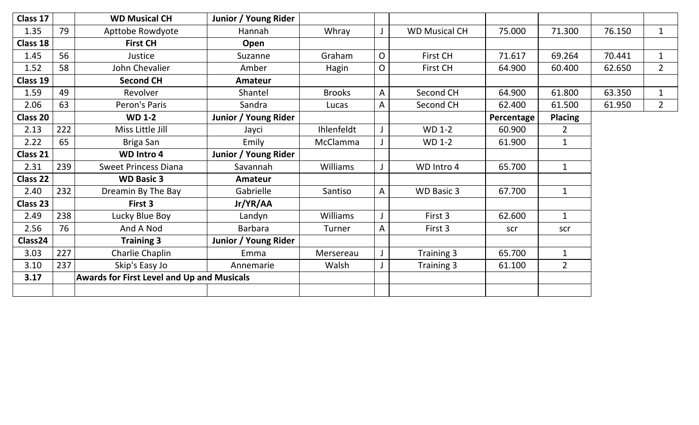| Class 17        |     | <b>WD Musical CH</b>                              | Junior / Young Rider |                 |                |                      |            |                |        |              |
|-----------------|-----|---------------------------------------------------|----------------------|-----------------|----------------|----------------------|------------|----------------|--------|--------------|
| 1.35            | 79  | Apttobe Rowdyote                                  | Hannah               | Whray           |                | <b>WD Musical CH</b> | 75.000     | 71.300         | 76.150 | $\mathbf{1}$ |
| Class 18        |     | <b>First CH</b>                                   | Open                 |                 |                |                      |            |                |        |              |
| 1.45            | 56  | Justice                                           | Suzanne              | Graham          | $\overline{O}$ | First CH             | 71.617     | 69.264         | 70.441 | $\mathbf{1}$ |
| 1.52            | 58  | John Chevalier                                    | Amber                | Hagin           | $\overline{O}$ | First CH             | 64.900     | 60.400         | 62.650 | $2^{\circ}$  |
| Class 19        |     | <b>Second CH</b>                                  | <b>Amateur</b>       |                 |                |                      |            |                |        |              |
| 1.59            | 49  | Revolver                                          | Shantel              | <b>Brooks</b>   | $\mathsf{A}$   | Second CH            | 64.900     | 61.800         | 63.350 | $\mathbf{1}$ |
| 2.06            | 63  | Peron's Paris                                     | Sandra               | Lucas           | A              | Second CH            | 62.400     | 61.500         | 61.950 | $2^{\circ}$  |
| <b>Class 20</b> |     | <b>WD 1-2</b>                                     | Junior / Young Rider |                 |                |                      | Percentage | <b>Placing</b> |        |              |
| 2.13            | 222 | Miss Little Jill                                  | Jayci                | Ihlenfeldt      |                | <b>WD 1-2</b>        | 60.900     | $\overline{2}$ |        |              |
| 2.22            | 65  | Briga San                                         | Emily                | McClamma        |                | <b>WD 1-2</b>        | 61.900     | $\mathbf{1}$   |        |              |
| Class 21        |     | <b>WD Intro 4</b>                                 | Junior / Young Rider |                 |                |                      |            |                |        |              |
| 2.31            | 239 | <b>Sweet Princess Diana</b>                       | Savannah             | Williams        |                | WD Intro 4           | 65.700     | $\mathbf{1}$   |        |              |
| <b>Class 22</b> |     | <b>WD Basic 3</b>                                 | Amateur              |                 |                |                      |            |                |        |              |
| 2.40            | 232 | Dreamin By The Bay                                | Gabrielle            | Santiso         | $\mathsf{A}$   | <b>WD Basic 3</b>    | 67.700     | $\mathbf{1}$   |        |              |
| Class 23        |     | First 3                                           | Jr/YR/AA             |                 |                |                      |            |                |        |              |
| 2.49            | 238 | Lucky Blue Boy                                    | Landyn               | <b>Williams</b> |                | First 3              | 62.600     | $\mathbf{1}$   |        |              |
| 2.56            | 76  | And A Nod                                         | Barbara              | Turner          | A              | First 3              | scr        | scr            |        |              |
| Class24         |     | <b>Training 3</b>                                 | Junior / Young Rider |                 |                |                      |            |                |        |              |
| 3.03            | 227 | Charlie Chaplin                                   | Emma                 | Mersereau       |                | Training 3           | 65.700     | $\mathbf{1}$   |        |              |
| 3.10            | 237 | Skip's Easy Jo                                    | Annemarie            | Walsh           |                | Training 3           | 61.100     | $\overline{2}$ |        |              |
| 3.17            |     | <b>Awards for First Level and Up and Musicals</b> |                      |                 |                |                      |            |                |        |              |
|                 |     |                                                   |                      |                 |                |                      |            |                |        |              |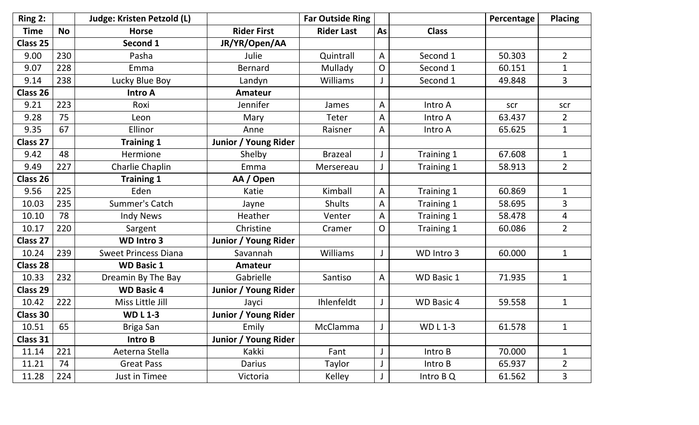| Ring 2:         |           | <b>Judge: Kristen Petzold (L)</b> |                      | <b>Far Outside Ring</b> |    |                   | Percentage | <b>Placing</b> |
|-----------------|-----------|-----------------------------------|----------------------|-------------------------|----|-------------------|------------|----------------|
| <b>Time</b>     | <b>No</b> | <b>Horse</b>                      | <b>Rider First</b>   | <b>Rider Last</b>       | As | <b>Class</b>      |            |                |
| Class 25        |           | Second 1                          | JR/YR/Open/AA        |                         |    |                   |            |                |
| 9.00            | 230       | Pasha                             | Julie                | Quintrall               | A  | Second 1          | 50.303     | $\overline{2}$ |
| 9.07            | 228       | Emma                              | <b>Bernard</b>       | Mullady                 | O  | Second 1          | 60.151     | $\mathbf{1}$   |
| 9.14            | 238       | Lucky Blue Boy                    | Landyn               | Williams                |    | Second 1          | 49.848     | 3              |
| Class 26        |           | <b>Intro A</b>                    | <b>Amateur</b>       |                         |    |                   |            |                |
| 9.21            | 223       | Roxi                              | Jennifer             | James                   | A  | Intro A           | scr        | scr            |
| 9.28            | 75        | Leon                              | Mary                 | Teter                   | A  | Intro A           | 63.437     | $\overline{2}$ |
| 9.35            | 67        | Ellinor                           | Anne                 | Raisner                 | A  | Intro A           | 65.625     | $\mathbf{1}$   |
| Class 27        |           | <b>Training 1</b>                 | Junior / Young Rider |                         |    |                   |            |                |
| 9.42            | 48        | Hermione                          | Shelby               | <b>Brazeal</b>          |    | Training 1        | 67.608     | $\mathbf{1}$   |
| 9.49            | 227       | Charlie Chaplin                   | Emma                 | Mersereau               |    | Training 1        | 58.913     | $\overline{2}$ |
| Class 26        |           | <b>Training 1</b>                 | AA / Open            |                         |    |                   |            |                |
| 9.56            | 225       | Eden                              | Katie                | Kimball                 | A  | Training 1        | 60.869     | $\mathbf{1}$   |
| 10.03           | 235       | Summer's Catch                    | Jayne                | <b>Shults</b>           | A  | Training 1        | 58.695     | 3              |
| 10.10           | 78        | <b>Indy News</b>                  | Heather              | Venter                  | A  | Training 1        | 58.478     | 4              |
| 10.17           | 220       | Sargent                           | Christine            | Cramer                  | O  | Training 1        | 60.086     | $\overline{2}$ |
| Class 27        |           | <b>WD Intro 3</b>                 | Junior / Young Rider |                         |    |                   |            |                |
| 10.24           | 239       | <b>Sweet Princess Diana</b>       | Savannah             | Williams                |    | WD Intro 3        | 60.000     | $\mathbf{1}$   |
| <b>Class 28</b> |           | <b>WD Basic 1</b>                 | Amateur              |                         |    |                   |            |                |
| 10.33           | 232       | Dreamin By The Bay                | Gabrielle            | Santiso                 | A  | <b>WD Basic 1</b> | 71.935     | $\mathbf{1}$   |
| <b>Class 29</b> |           | <b>WD Basic 4</b>                 | Junior / Young Rider |                         |    |                   |            |                |
| 10.42           | 222       | Miss Little Jill                  | Jayci                | Ihlenfeldt              |    | <b>WD Basic 4</b> | 59.558     | $\mathbf{1}$   |
| <b>Class 30</b> |           | <b>WDL1-3</b>                     | Junior / Young Rider |                         |    |                   |            |                |
| 10.51           | 65        | Briga San                         | Emily                | McClamma                | J  | WD L 1-3          | 61.578     | 1              |
| Class 31        |           | Intro B                           | Junior / Young Rider |                         |    |                   |            |                |
| 11.14           | 221       | Aeterna Stella                    | Kakki                | Fant                    |    | Intro B           | 70.000     | $\mathbf{1}$   |
| 11.21           | 74        | <b>Great Pass</b>                 | Darius               | Taylor                  |    | Intro B           | 65.937     | $\overline{2}$ |
| 11.28           | 224       | Just in Timee                     | Victoria             | Kelley                  |    | Intro B Q         | 61.562     | 3              |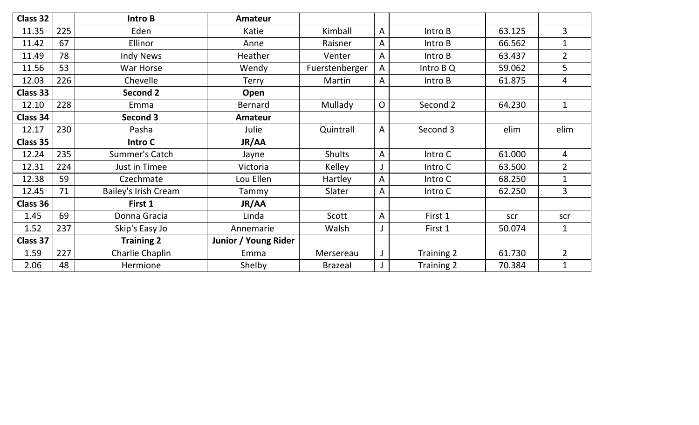| <b>Class 32</b> |     | Intro B              | Amateur              |                |              |            |        |                |
|-----------------|-----|----------------------|----------------------|----------------|--------------|------------|--------|----------------|
| 11.35           | 225 | Eden                 | Katie                | Kimball        | A            | Intro B    | 63.125 | 3              |
| 11.42           | 67  | Ellinor              | Anne                 | Raisner        | A            | Intro B    | 66.562 | $\mathbf{1}$   |
| 11.49           | 78  | <b>Indy News</b>     | Heather              | Venter         | A            | Intro B    | 63.437 | $\overline{2}$ |
| 11.56           | 53  | War Horse            | Wendy                | Fuerstenberger | A            | Intro B Q  | 59.062 | 5              |
| 12.03           | 226 | Chevelle             | <b>Terry</b>         | Martin         | A            | Intro B    | 61.875 | 4              |
| Class 33        |     | <b>Second 2</b>      | Open                 |                |              |            |        |                |
| 12.10           | 228 | Emma                 | Bernard              | Mullady        | O            | Second 2   | 64.230 | $\mathbf{1}$   |
| Class 34        |     | Second 3             | Amateur              |                |              |            |        |                |
| 12.17           | 230 | Pasha                | Julie                | Quintrall      | $\mathsf{A}$ | Second 3   | elim   | elim           |
| Class 35        |     | Intro C              | JR/AA                |                |              |            |        |                |
| 12.24           | 235 | Summer's Catch       | Jayne                | <b>Shults</b>  | A            | Intro C    | 61.000 | $\overline{4}$ |
| 12.31           | 224 | Just in Timee        | Victoria             | Kelley         |              | Intro C    | 63.500 | $\overline{2}$ |
| 12.38           | 59  | Czechmate            | Lou Ellen            | Hartley        | A            | Intro C    | 68.250 | $\mathbf{1}$   |
| 12.45           | 71  | Bailey's Irish Cream | Tammy                | Slater         | A            | Intro C    | 62.250 | $\overline{3}$ |
| Class 36        |     | First 1              | JR/AA                |                |              |            |        |                |
| 1.45            | 69  | Donna Gracia         | Linda                | Scott          | A            | First 1    | scr    | scr            |
| 1.52            | 237 | Skip's Easy Jo       | Annemarie            | Walsh          |              | First 1    | 50.074 | $\mathbf{1}$   |
| Class 37        |     | <b>Training 2</b>    | Junior / Young Rider |                |              |            |        |                |
| 1.59            | 227 | Charlie Chaplin      | Emma                 | Mersereau      |              | Training 2 | 61.730 | $\overline{2}$ |
| 2.06            | 48  | Hermione             | Shelby               | <b>Brazeal</b> |              | Training 2 | 70.384 | $\mathbf{1}$   |